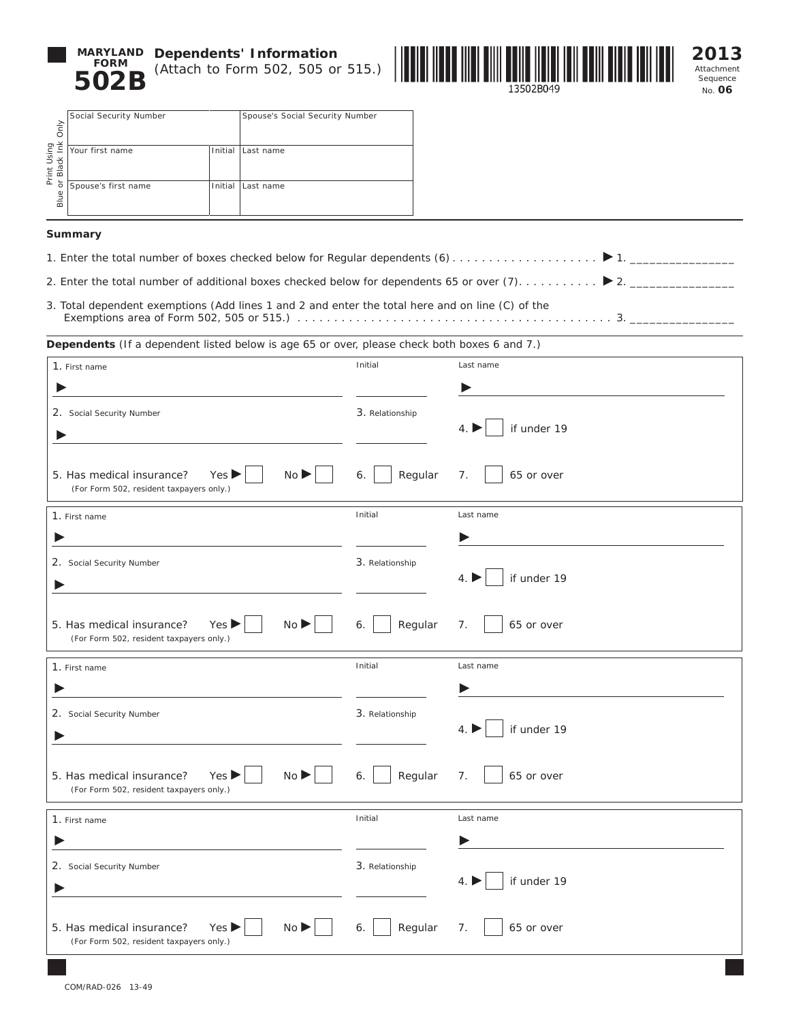

**MARYLAND** Dependents' Information (Attach to Form 502, 505 or 515.)



Attachment Sequence No. **06**

| Only                                  | Social Security Number     |  | Spouse's Social Security Number                                                                     |  |
|---------------------------------------|----------------------------|--|-----------------------------------------------------------------------------------------------------|--|
| Print Using<br>or Black Ink (<br>Blue | Your first name<br>Initial |  | Last name                                                                                           |  |
|                                       | Spouse's first name        |  | Initial Last name                                                                                   |  |
|                                       | Summary                    |  |                                                                                                     |  |
|                                       |                            |  | 1. Enter the total number of boxes checked below for Regular dependents (6)                         |  |
|                                       |                            |  | 2. Enter the total number of additional boxes checked below for dependents 65 or over (7)           |  |
|                                       |                            |  | 3. Total dependent exemptions (Add lines 1 and 2 and enter the total here and on line (C) of the    |  |
|                                       |                            |  | <b>Dependents</b> (If a dependent listed below is age 65 or over, please check both boxes 6 and 7.) |  |

## **Summary**

- 1. Enter the total number of boxes checked below for Regular dependents (6). . . 1. \_\_\_\_\_\_\_\_\_\_\_\_\_\_\_\_
- 2. Enter the total number of additional boxes checked below for dependents 65 or over (7). . . 2. \_\_\_\_\_\_\_\_\_\_\_\_\_\_\_\_
- 3. Total dependent exemptions (Add lines 1 and 2 and enter the total here and on line (C) of the Exemptions area of Form 502, 505 or 515.). . 3. \_\_\_\_\_\_\_\_\_\_\_\_\_\_\_\_

| 1. First name                                                                        | Initial         | Last name           |
|--------------------------------------------------------------------------------------|-----------------|---------------------|
| 2. Social Security Number                                                            | 3. Relationship | if under 19<br>4.1  |
| No<br>5. Has medical insurance?<br>Yes<br>(For Form 502, resident taxpayers only.)   | Regular<br>6.   | 65 or over<br>7.    |
| 1. First name                                                                        | Initial         | Last name           |
|                                                                                      |                 |                     |
| 2. Social Security Number                                                            | 3. Relationship | if under 19<br>4.   |
| No<br>5. Has medical insurance?<br>Yes<br>(For Form 502, resident taxpayers only.)   | Regular<br>6.   | 7.<br>65 or over    |
|                                                                                      |                 |                     |
| 1. First name                                                                        | Initial         | Last name           |
|                                                                                      |                 |                     |
| 2. Social Security Number                                                            | 3. Relationship | if under 19<br>4. I |
| No<br>5. Has medical insurance?<br>Yes J<br>(For Form 502, resident taxpayers only.) | Regular<br>6.   | 7.<br>65 or over    |
| 1. First name                                                                        | Initial         | Last name           |
|                                                                                      |                 |                     |
| 2. Social Security Number                                                            | 3. Relationship | if under 19<br>4.   |